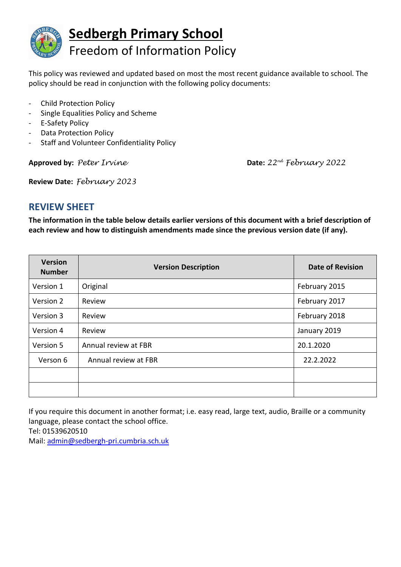

This policy was reviewed and updated based on most the most recent guidance available to school. The policy should be read in conjunction with the following policy documents:

- Child Protection Policy
- Single Equalities Policy and Scheme
- E-Safety Policy
- Data Protection Policy
- Staff and Volunteer Confidentiality Policy

**Approved by:** *Peter Irvine* **Date:** *22nd February 2022*

**Review Date:** *February 2023*

## **REVIEW SHEET**

**The information in the table below details earlier versions of this document with a brief description of each review and how to distinguish amendments made since the previous version date (if any).**

| <b>Version</b><br><b>Number</b> | <b>Version Description</b> | <b>Date of Revision</b> |
|---------------------------------|----------------------------|-------------------------|
| Version 1                       | Original                   | February 2015           |
| Version 2                       | Review                     | February 2017           |
| Version 3                       | Review                     | February 2018           |
| Version 4                       | Review                     | January 2019            |
| Version 5                       | Annual review at FBR       | 20.1.2020               |
| Verson 6                        | Annual review at FBR       | 22.2.2022               |
|                                 |                            |                         |
|                                 |                            |                         |

If you require this document in another format; i.e. easy read, large text, audio, Braille or a community language, please contact the school office. Tel: 01539620510

Mail: [admin@sedbergh-pri.cumbria.sch.uk](mailto:admin@sedbergh-pri.cumbria.sch.uk)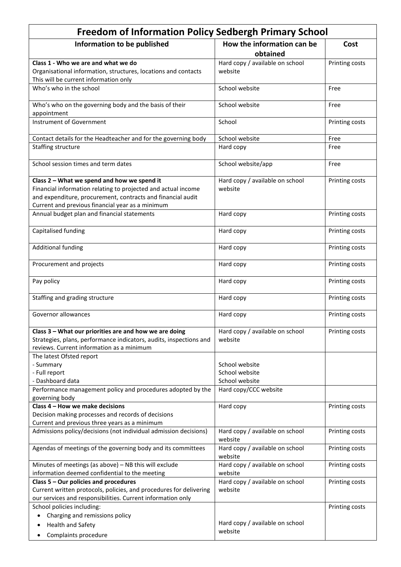| <b>Freedom of Information Policy Sedbergh Primary School</b>                                                                                                                                                                    |                                            |                |  |  |
|---------------------------------------------------------------------------------------------------------------------------------------------------------------------------------------------------------------------------------|--------------------------------------------|----------------|--|--|
| Information to be published                                                                                                                                                                                                     | How the information can be<br>obtained     | Cost           |  |  |
| Class 1 - Who we are and what we do<br>Organisational information, structures, locations and contacts<br>This will be current information only                                                                                  | Hard copy / available on school<br>website | Printing costs |  |  |
| Who's who in the school                                                                                                                                                                                                         | School website                             | Free           |  |  |
| Who's who on the governing body and the basis of their<br>appointment                                                                                                                                                           | School website                             | Free           |  |  |
| <b>Instrument of Government</b>                                                                                                                                                                                                 | School                                     | Printing costs |  |  |
| Contact details for the Headteacher and for the governing body                                                                                                                                                                  | School website                             | Free           |  |  |
| Staffing structure                                                                                                                                                                                                              | Hard copy                                  | Free           |  |  |
| School session times and term dates                                                                                                                                                                                             | School website/app                         | Free           |  |  |
| Class 2 - What we spend and how we spend it<br>Financial information relating to projected and actual income<br>and expenditure, procurement, contracts and financial audit<br>Current and previous financial year as a minimum | Hard copy / available on school<br>website | Printing costs |  |  |
| Annual budget plan and financial statements                                                                                                                                                                                     | Hard copy                                  | Printing costs |  |  |
| Capitalised funding                                                                                                                                                                                                             | Hard copy                                  | Printing costs |  |  |
| <b>Additional funding</b>                                                                                                                                                                                                       | Hard copy                                  | Printing costs |  |  |
| Procurement and projects                                                                                                                                                                                                        | Hard copy                                  | Printing costs |  |  |
| Pay policy                                                                                                                                                                                                                      | Hard copy                                  | Printing costs |  |  |
| Staffing and grading structure                                                                                                                                                                                                  | Hard copy                                  | Printing costs |  |  |
| Governor allowances                                                                                                                                                                                                             | Hard copy                                  | Printing costs |  |  |
| Class 3 - What our priorities are and how we are doing<br>Strategies, plans, performance indicators, audits, inspections and<br>reviews. Current information as a minimum                                                       | Hard copy / available on school<br>website | Printing costs |  |  |
| The latest Ofsted report                                                                                                                                                                                                        |                                            |                |  |  |
| - Summary                                                                                                                                                                                                                       | School website                             |                |  |  |
| - Full report                                                                                                                                                                                                                   | School website                             |                |  |  |
| - Dashboard data                                                                                                                                                                                                                | School website                             |                |  |  |
| Performance management policy and procedures adopted by the                                                                                                                                                                     | Hard copy/CCC website                      |                |  |  |
| governing body                                                                                                                                                                                                                  |                                            |                |  |  |
| Class 4 - How we make decisions<br>Decision making processes and records of decisions<br>Current and previous three years as a minimum                                                                                          | Hard copy                                  | Printing costs |  |  |
| Admissions policy/decisions (not individual admission decisions)                                                                                                                                                                | Hard copy / available on school<br>website | Printing costs |  |  |
| Agendas of meetings of the governing body and its committees                                                                                                                                                                    | Hard copy / available on school<br>website | Printing costs |  |  |
| Minutes of meetings (as above) - NB this will exclude                                                                                                                                                                           | Hard copy / available on school            | Printing costs |  |  |
| information deemed confidential to the meeting                                                                                                                                                                                  | website                                    |                |  |  |
| Class 5 - Our policies and procedures                                                                                                                                                                                           | Hard copy / available on school            | Printing costs |  |  |
| Current written protocols, policies, and procedures for delivering<br>our services and responsibilities. Current information only                                                                                               | website                                    |                |  |  |
| School policies including:                                                                                                                                                                                                      |                                            | Printing costs |  |  |
| Charging and remissions policy<br>$\bullet$                                                                                                                                                                                     |                                            |                |  |  |
| Health and Safety                                                                                                                                                                                                               | Hard copy / available on school            |                |  |  |
| Complaints procedure                                                                                                                                                                                                            | website                                    |                |  |  |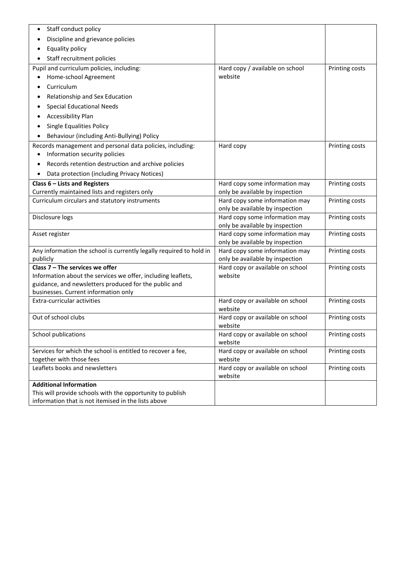| Staff conduct policy                                                                          |                                                                   |                |
|-----------------------------------------------------------------------------------------------|-------------------------------------------------------------------|----------------|
| Discipline and grievance policies                                                             |                                                                   |                |
| Equality policy                                                                               |                                                                   |                |
| Staff recruitment policies                                                                    |                                                                   |                |
| Pupil and curriculum policies, including:                                                     | Hard copy / available on school                                   | Printing costs |
| Home-school Agreement                                                                         | website                                                           |                |
| Curriculum                                                                                    |                                                                   |                |
| Relationship and Sex Education                                                                |                                                                   |                |
| <b>Special Educational Needs</b>                                                              |                                                                   |                |
| <b>Accessibility Plan</b>                                                                     |                                                                   |                |
| Single Equalities Policy                                                                      |                                                                   |                |
| Behaviour (including Anti-Bullying) Policy<br>٠                                               |                                                                   |                |
| Records management and personal data policies, including:                                     | Hard copy                                                         | Printing costs |
| Information security policies                                                                 |                                                                   |                |
| Records retention destruction and archive policies<br>$\bullet$                               |                                                                   |                |
| Data protection (including Privacy Notices)                                                   |                                                                   |                |
| Class 6 - Lists and Registers                                                                 | Hard copy some information may                                    | Printing costs |
| Currently maintained lists and registers only                                                 | only be available by inspection                                   |                |
| Curriculum circulars and statutory instruments                                                | Hard copy some information may                                    | Printing costs |
|                                                                                               | only be available by inspection                                   |                |
| Disclosure logs                                                                               | Hard copy some information may                                    | Printing costs |
| Asset register                                                                                | only be available by inspection<br>Hard copy some information may | Printing costs |
|                                                                                               | only be available by inspection                                   |                |
| Any information the school is currently legally required to hold in                           | Hard copy some information may                                    | Printing costs |
| publicly                                                                                      | only be available by inspection                                   |                |
| Class $7$ – The services we offer                                                             | Hard copy or available on school                                  | Printing costs |
| Information about the services we offer, including leaflets,                                  | website                                                           |                |
| guidance, and newsletters produced for the public and<br>businesses. Current information only |                                                                   |                |
| Extra-curricular activities                                                                   | Hard copy or available on school                                  | Printing costs |
|                                                                                               | website                                                           |                |
| Out of school clubs                                                                           | Hard copy or available on school                                  | Printing costs |
|                                                                                               | website                                                           |                |
| School publications                                                                           | Hard copy or available on school                                  | Printing costs |
|                                                                                               | website                                                           |                |
| Services for which the school is entitled to recover a fee,                                   | Hard copy or available on school                                  | Printing costs |
| together with those fees<br>Leaflets books and newsletters                                    | website<br>Hard copy or available on school                       | Printing costs |
|                                                                                               | website                                                           |                |
| <b>Additional Information</b>                                                                 |                                                                   |                |
| This will provide schools with the opportunity to publish                                     |                                                                   |                |
| information that is not itemised in the lists above                                           |                                                                   |                |